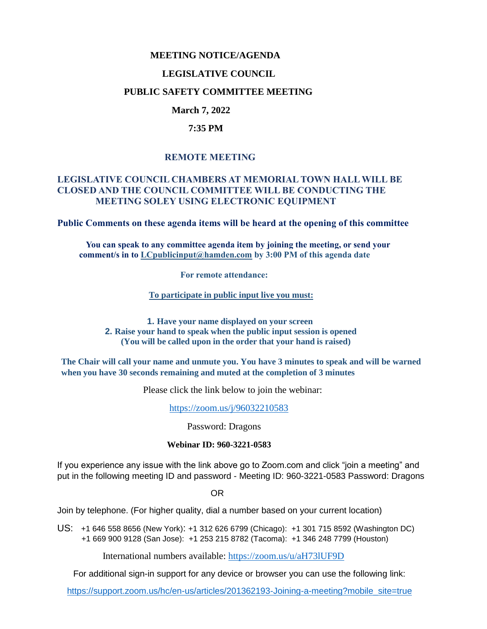### **MEETING NOTICE/AGENDA**

### **LEGISLATIVE COUNCIL**

### **PUBLIC SAFETY COMMITTEE MEETING**

# **March 7, 2022**

### **7:35 PM**

# **REMOTE MEETING**

### **LEGISLATIVE COUNCIL CHAMBERS AT MEMORIAL TOWN HALL WILL BE CLOSED AND THE COUNCIL COMMITTEE WILL BE CONDUCTING THE MEETING SOLEY USING ELECTRONIC EQUIPMENT**

**Public Comments on these agenda items will be heard at the opening of this committee** 

 **You can speak to any committee agenda item by joining the meeting, or send your comment/s in to [LCpublicinput@hamden.com](mailto:LCpublicinput@hamden.com) by 3:00 PM of this agenda date**

 **For remote attendance:**

**To participate in public input live you must:**

**1. Have your name displayed on your screen 2. Raise your hand to speak when the public input session is opened (You will be called upon in the order that your hand is raised)**

**The Chair will call your name and unmute you. You have 3 minutes to speak and will be warned when you have 30 seconds remaining and muted at the completion of 3 minutes**

Please click the link below to join the webinar:

<https://zoom.us/j/96032210583>

Password: Dragons

#### **Webinar ID: 960-3221-0583**

If you experience any issue with the link above go to Zoom.com and click "join a meeting" and put in the following meeting ID and password - Meeting ID: 960-3221-0583 Password: Dragons

OR

Join by telephone. (For higher quality, dial a number based on your current location)

US: [+1 646 558 8656 \(New York\)](tel:+16465588656): [+1 312 626 6799 \(Chicago\):](tel:+13126266799) [+1 301 715 8592 \(Washington DC\)](tel:+13017158592) +1 669 900 9128 (San Jose): [+1 253 215 8782 \(Tacoma\):](tel:+12532158782) [+1 346 248 7799 \(Houston\)](tel:+13462487799)

International numbers available:<https://zoom.us/u/aH73lUF9D>

For additional sign-in support for any device or browser you can use the following link:

[https://support.zoom.us/hc/en-us/articles/201362193-Joining-a-meeting?mobile\\_site=true](https://support.zoom.us/hc/en-us/articles/201362193-Joining-a-meeting?mobile_site=true)